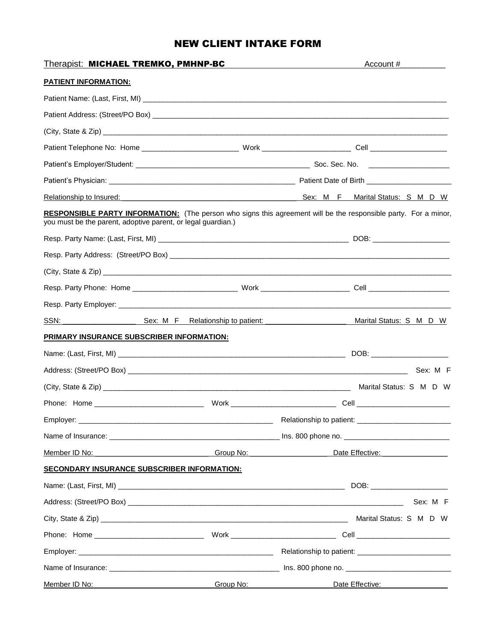## NEW CLIENT INTAKE FORM

| Therapist: MICHAEL TREMKO, PMHNP-BC                                                                                                                                                    |  |                             | Account #                                                                                                                                                                                                                      |  |
|----------------------------------------------------------------------------------------------------------------------------------------------------------------------------------------|--|-----------------------------|--------------------------------------------------------------------------------------------------------------------------------------------------------------------------------------------------------------------------------|--|
| <b>PATIENT INFORMATION:</b>                                                                                                                                                            |  |                             |                                                                                                                                                                                                                                |  |
|                                                                                                                                                                                        |  |                             |                                                                                                                                                                                                                                |  |
|                                                                                                                                                                                        |  |                             |                                                                                                                                                                                                                                |  |
|                                                                                                                                                                                        |  |                             |                                                                                                                                                                                                                                |  |
|                                                                                                                                                                                        |  |                             |                                                                                                                                                                                                                                |  |
|                                                                                                                                                                                        |  |                             |                                                                                                                                                                                                                                |  |
|                                                                                                                                                                                        |  |                             |                                                                                                                                                                                                                                |  |
|                                                                                                                                                                                        |  |                             | Sex: M F Marital Status: S M D W                                                                                                                                                                                               |  |
| <b>RESPONSIBLE PARTY INFORMATION:</b> (The person who signs this agreement will be the responsible party. For a minor,<br>you must be the parent, adoptive parent, or legal guardian.) |  |                             |                                                                                                                                                                                                                                |  |
|                                                                                                                                                                                        |  |                             |                                                                                                                                                                                                                                |  |
|                                                                                                                                                                                        |  |                             |                                                                                                                                                                                                                                |  |
|                                                                                                                                                                                        |  |                             |                                                                                                                                                                                                                                |  |
|                                                                                                                                                                                        |  |                             |                                                                                                                                                                                                                                |  |
|                                                                                                                                                                                        |  |                             |                                                                                                                                                                                                                                |  |
| SSN: SEX: M F Relationship to patient:                                                                                                                                                 |  |                             | Marital Status: S M D W                                                                                                                                                                                                        |  |
| PRIMARY INSURANCE SUBSCRIBER INFORMATION:                                                                                                                                              |  |                             |                                                                                                                                                                                                                                |  |
|                                                                                                                                                                                        |  |                             | DOB: _________________________                                                                                                                                                                                                 |  |
|                                                                                                                                                                                        |  |                             |                                                                                                                                                                                                                                |  |
|                                                                                                                                                                                        |  |                             |                                                                                                                                                                                                                                |  |
|                                                                                                                                                                                        |  |                             |                                                                                                                                                                                                                                |  |
| Employer:                                                                                                                                                                              |  | Relationship to patient: __ |                                                                                                                                                                                                                                |  |
|                                                                                                                                                                                        |  |                             |                                                                                                                                                                                                                                |  |
| <u>Member ID No:</u> Group No: Group No: Group No:                                                                                                                                     |  |                             | Date Effective: National Property of the Contract of the Contract of the Contract of the Contract of the Contract of the Contract of the Contract of the Contract of the Contract of the Contract of the Contract of the Contr |  |
| <b>SECONDARY INSURANCE SUBSCRIBER INFORMATION:</b>                                                                                                                                     |  |                             |                                                                                                                                                                                                                                |  |
|                                                                                                                                                                                        |  |                             |                                                                                                                                                                                                                                |  |
|                                                                                                                                                                                        |  |                             | Sex: M F                                                                                                                                                                                                                       |  |
|                                                                                                                                                                                        |  |                             |                                                                                                                                                                                                                                |  |
|                                                                                                                                                                                        |  |                             |                                                                                                                                                                                                                                |  |
|                                                                                                                                                                                        |  |                             |                                                                                                                                                                                                                                |  |
|                                                                                                                                                                                        |  |                             |                                                                                                                                                                                                                                |  |
| Member ID No: Group No: Group No:                                                                                                                                                      |  |                             | Date Effective: 2004                                                                                                                                                                                                           |  |